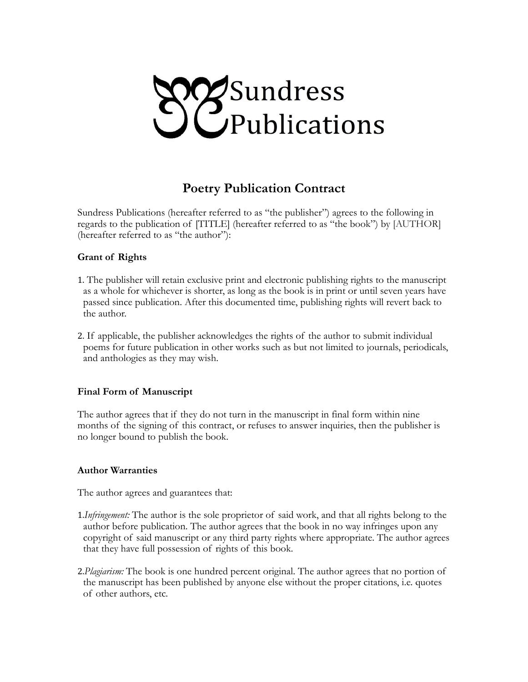

# **Poetry Publication Contract**

Sundress Publications (hereafter referred to as "the publisher") agrees to the following in regards to the publication of [TITLE] (hereafter referred to as "the book") by [AUTHOR] (hereafter referred to as "the author"):

#### **Grant of Rights**

- 1. The publisher will retain exclusive print and electronic publishing rights to the manuscript as a whole for whichever is shorter, as long as the book is in print or until seven years have passed since publication. After this documented time, publishing rights will revert back to the author.
- 2. If applicable, the publisher acknowledges the rights of the author to submit individual poems for future publication in other works such as but not limited to journals, periodicals, and anthologies as they may wish.

#### **Final Form of Manuscript**

The author agrees that if they do not turn in the manuscript in final form within nine months of the signing of this contract, or refuses to answer inquiries, then the publisher is no longer bound to publish the book.

#### **Author Warranties**

The author agrees and guarantees that:

- 1.*Infringement:* The author is the sole proprietor of said work, and that all rights belong to the author before publication. The author agrees that the book in no way infringes upon any copyright of said manuscript or any third party rights where appropriate. The author agrees that they have full possession of rights of this book.
- 2.*Plagiarism:* The book is one hundred percent original. The author agrees that no portion of the manuscript has been published by anyone else without the proper citations, i.e. quotes of other authors, etc.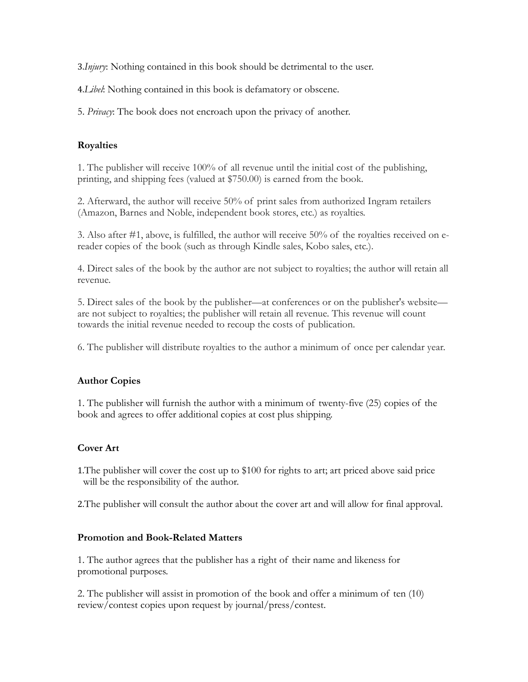3.*Injury*: Nothing contained in this book should be detrimental to the user.

4.*Libel*: Nothing contained in this book is defamatory or obscene.

5. *Privacy*: The book does not encroach upon the privacy of another.

## **Royalties**

1. The publisher will receive 100% of all revenue until the initial cost of the publishing, printing, and shipping fees (valued at \$750.00) is earned from the book.

2. Afterward, the author will receive 50% of print sales from authorized Ingram retailers (Amazon, Barnes and Noble, independent book stores, etc.) as royalties.

3. Also after #1, above, is fulfilled, the author will receive 50% of the royalties received on ereader copies of the book (such as through Kindle sales, Kobo sales, etc.).

4. Direct sales of the book by the author are not subject to royalties; the author will retain all revenue.

5. Direct sales of the book by the publisher—at conferences or on the publisher's website are not subject to royalties; the publisher will retain all revenue. This revenue will count towards the initial revenue needed to recoup the costs of publication.

6. The publisher will distribute royalties to the author a minimum of once per calendar year.

## **Author Copies**

1. The publisher will furnish the author with a minimum of twenty-five (25) copies of the book and agrees to offer additional copies at cost plus shipping.

## **Cover Art**

1.The publisher will cover the cost up to \$100 for rights to art; art priced above said price will be the responsibility of the author.

2.The publisher will consult the author about the cover art and will allow for final approval.

## **Promotion and Book-Related Matters**

1. The author agrees that the publisher has a right of their name and likeness for promotional purposes.

2. The publisher will assist in promotion of the book and offer a minimum of ten (10) review/contest copies upon request by journal/press/contest.